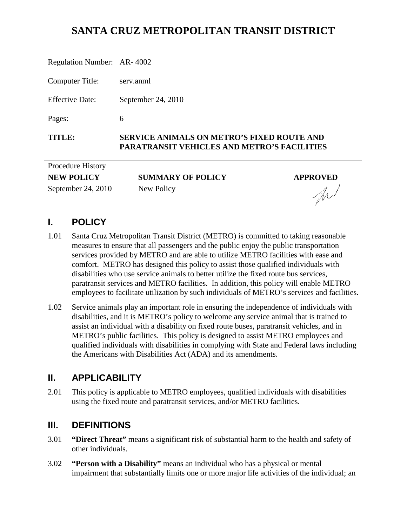# **SANTA CRUZ METROPOLITAN TRANSIT DISTRICT**

| Regulation Number: AR-4002 |                                                                                                         |                 |
|----------------------------|---------------------------------------------------------------------------------------------------------|-----------------|
| Computer Title:            | serv.anml                                                                                               |                 |
| <b>Effective Date:</b>     | September 24, 2010                                                                                      |                 |
| Pages:                     | 6                                                                                                       |                 |
| TITLE:                     | <b>SERVICE ANIMALS ON METRO'S FIXED ROUTE AND</b><br><b>PARATRANSIT VEHICLES AND METRO'S FACILITIES</b> |                 |
| Procedure History          |                                                                                                         |                 |
| <b>NEW POLICY</b>          | <b>SUMMARY OF POLICY</b>                                                                                | <b>APPROVED</b> |
| September 24, 2010         | New Policy                                                                                              |                 |

# **I. POLICY**

1.01 Santa Cruz Metropolitan Transit District (METRO) is committed to taking reasonable measures to ensure that all passengers and the public enjoy the public transportation services provided by METRO and are able to utilize METRO facilities with ease and comfort. METRO has designed this policy to assist those qualified individuals with disabilities who use service animals to better utilize the fixed route bus services, paratransit services and METRO facilities. In addition, this policy will enable METRO employees to facilitate utilization by such individuals of METRO's services and facilities.

W

1.02 Service animals play an important role in ensuring the independence of individuals with disabilities, and it is METRO's policy to welcome any service animal that is trained to assist an individual with a disability on fixed route buses, paratransit vehicles, and in METRO's public facilities. This policy is designed to assist METRO employees and qualified individuals with disabilities in complying with State and Federal laws including the Americans with Disabilities Act (ADA) and its amendments.

### **II. APPLICABILITY**

2.01 This policy is applicable to METRO employees, qualified individuals with disabilities using the fixed route and paratransit services, and/or METRO facilities.

### **III. DEFINITIONS**

- 3.01 **"Direct Threat"** means a significant risk of substantial harm to the health and safety of other individuals.
- 3.02 **"Person with a Disability"** means an individual who has a physical or mental impairment that substantially limits one or more major life activities of the individual; an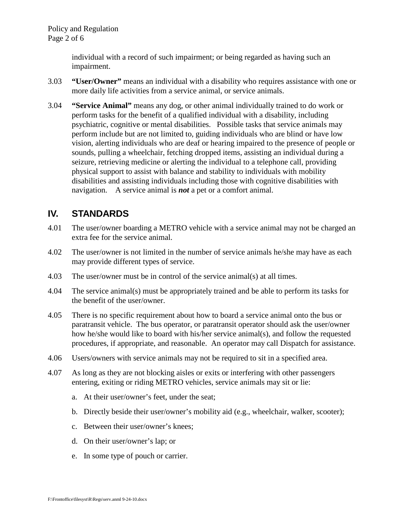individual with a record of such impairment; or being regarded as having such an impairment.

- 3.03 **"User/Owner"** means an individual with a disability who requires assistance with one or more daily life activities from a service animal, or service animals.
- 3.04 **"Service Animal"** means any dog, or other animal individually trained to do work or perform tasks for the benefit of a qualified individual with a disability, including psychiatric, cognitive or mental disabilities. Possible tasks that service animals may perform include but are not limited to, guiding individuals who are blind or have low vision, alerting individuals who are deaf or hearing impaired to the presence of people or sounds, pulling a wheelchair, fetching dropped items, assisting an individual during a seizure, retrieving medicine or alerting the individual to a telephone call, providing physical support to assist with balance and stability to individuals with mobility disabilities and assisting individuals including those with cognitive disabilities with navigation. A service animal is *not* a pet or a comfort animal.

## **IV. STANDARDS**

- 4.01 The user/owner boarding a METRO vehicle with a service animal may not be charged an extra fee for the service animal.
- 4.02 The user/owner is not limited in the number of service animals he/she may have as each may provide different types of service.
- 4.03 The user/owner must be in control of the service animal(s) at all times.
- 4.04 The service animal(s) must be appropriately trained and be able to perform its tasks for the benefit of the user/owner.
- 4.05 There is no specific requirement about how to board a service animal onto the bus or paratransit vehicle. The bus operator, or paratransit operator should ask the user/owner how he/she would like to board with his/her service animal(s), and follow the requested procedures, if appropriate, and reasonable. An operator may call Dispatch for assistance.
- 4.06 Users/owners with service animals may not be required to sit in a specified area.
- 4.07 As long as they are not blocking aisles or exits or interfering with other passengers entering, exiting or riding METRO vehicles, service animals may sit or lie:
	- a. At their user/owner's feet, under the seat;
	- b. Directly beside their user/owner's mobility aid (e.g., wheelchair, walker, scooter);
	- c. Between their user/owner's knees;
	- d. On their user/owner's lap; or
	- e. In some type of pouch or carrier.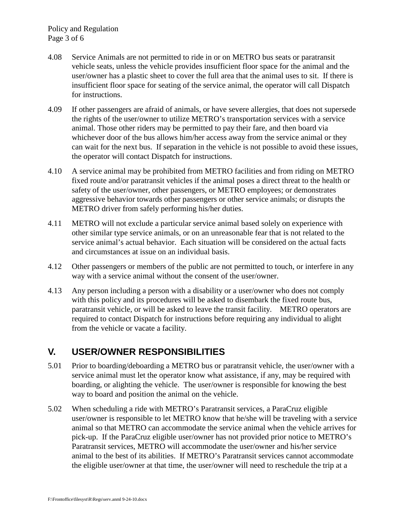- 4.08 Service Animals are not permitted to ride in or on METRO bus seats or paratransit vehicle seats, unless the vehicle provides insufficient floor space for the animal and the user/owner has a plastic sheet to cover the full area that the animal uses to sit. If there is insufficient floor space for seating of the service animal, the operator will call Dispatch for instructions.
- 4.09 If other passengers are afraid of animals, or have severe allergies, that does not supersede the rights of the user/owner to utilize METRO's transportation services with a service animal. Those other riders may be permitted to pay their fare, and then board via whichever door of the bus allows him/her access away from the service animal or they can wait for the next bus. If separation in the vehicle is not possible to avoid these issues, the operator will contact Dispatch for instructions.
- 4.10 A service animal may be prohibited from METRO facilities and from riding on METRO fixed route and/or paratransit vehicles if the animal poses a direct threat to the health or safety of the user/owner, other passengers, or METRO employees; or demonstrates aggressive behavior towards other passengers or other service animals; or disrupts the METRO driver from safely performing his/her duties.
- 4.11 METRO will not exclude a particular service animal based solely on experience with other similar type service animals, or on an unreasonable fear that is not related to the service animal's actual behavior. Each situation will be considered on the actual facts and circumstances at issue on an individual basis.
- 4.12 Other passengers or members of the public are not permitted to touch, or interfere in any way with a service animal without the consent of the user/owner.
- 4.13 Any person including a person with a disability or a user/owner who does not comply with this policy and its procedures will be asked to disembark the fixed route bus, paratransit vehicle, or will be asked to leave the transit facility. METRO operators are required to contact Dispatch for instructions before requiring any individual to alight from the vehicle or vacate a facility.

# **V. USER/OWNER RESPONSIBILITIES**

- 5.01 Prior to boarding/deboarding a METRO bus or paratransit vehicle, the user/owner with a service animal must let the operator know what assistance, if any, may be required with boarding, or alighting the vehicle. The user/owner is responsible for knowing the best way to board and position the animal on the vehicle.
- 5.02 When scheduling a ride with METRO's Paratransit services, a ParaCruz eligible user/owner is responsible to let METRO know that he/she will be traveling with a service animal so that METRO can accommodate the service animal when the vehicle arrives for pick-up. If the ParaCruz eligible user/owner has not provided prior notice to METRO's Paratransit services, METRO will accommodate the user/owner and his/her service animal to the best of its abilities. If METRO's Paratransit services cannot accommodate the eligible user/owner at that time, the user/owner will need to reschedule the trip at a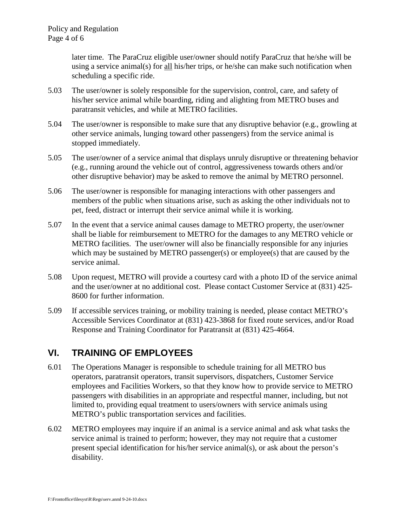later time. The ParaCruz eligible user/owner should notify ParaCruz that he/she will be using a service animal(s) for all his/her trips, or he/she can make such notification when scheduling a specific ride.

- 5.03 The user/owner is solely responsible for the supervision, control, care, and safety of his/her service animal while boarding, riding and alighting from METRO buses and paratransit vehicles, and while at METRO facilities.
- 5.04 The user/owner is responsible to make sure that any disruptive behavior (e.g., growling at other service animals, lunging toward other passengers) from the service animal is stopped immediately.
- 5.05 The user/owner of a service animal that displays unruly disruptive or threatening behavior (e.g., running around the vehicle out of control, aggressiveness towards others and/or other disruptive behavior) may be asked to remove the animal by METRO personnel.
- 5.06 The user/owner is responsible for managing interactions with other passengers and members of the public when situations arise, such as asking the other individuals not to pet, feed, distract or interrupt their service animal while it is working.
- 5.07 In the event that a service animal causes damage to METRO property, the user/owner shall be liable for reimbursement to METRO for the damages to any METRO vehicle or METRO facilities. The user/owner will also be financially responsible for any injuries which may be sustained by METRO passenger(s) or employee(s) that are caused by the service animal.
- 5.08 Upon request, METRO will provide a courtesy card with a photo ID of the service animal and the user/owner at no additional cost. Please contact Customer Service at (831) 425- 8600 for further information.
- 5.09 If accessible services training, or mobility training is needed, please contact METRO's Accessible Services Coordinator at (831) 423-3868 for fixed route services, and/or Road Response and Training Coordinator for Paratransit at (831) 425-4664.

# **VI. TRAINING OF EMPLOYEES**

- 6.01 The Operations Manager is responsible to schedule training for all METRO bus operators, paratransit operators, transit supervisors, dispatchers, Customer Service employees and Facilities Workers, so that they know how to provide service to METRO passengers with disabilities in an appropriate and respectful manner, including, but not limited to, providing equal treatment to users/owners with service animals using METRO's public transportation services and facilities.
- 6.02 METRO employees may inquire if an animal is a service animal and ask what tasks the service animal is trained to perform; however, they may not require that a customer present special identification for his/her service animal(s), or ask about the person's disability.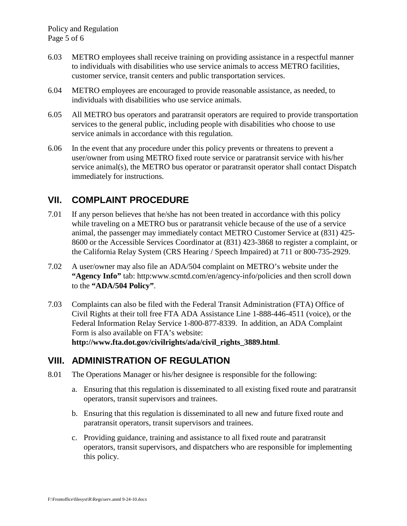- 6.03 METRO employees shall receive training on providing assistance in a respectful manner to individuals with disabilities who use service animals to access METRO facilities, customer service, transit centers and public transportation services.
- 6.04 METRO employees are encouraged to provide reasonable assistance, as needed, to individuals with disabilities who use service animals.
- 6.05 All METRO bus operators and paratransit operators are required to provide transportation services to the general public, including people with disabilities who choose to use service animals in accordance with this regulation.
- 6.06 In the event that any procedure under this policy prevents or threatens to prevent a user/owner from using METRO fixed route service or paratransit service with his/her service animal(s), the METRO bus operator or paratransit operator shall contact Dispatch immediately for instructions.

# **VII. COMPLAINT PROCEDURE**

- 7.01 If any person believes that he/she has not been treated in accordance with this policy while traveling on a METRO bus or paratransit vehicle because of the use of a service animal, the passenger may immediately contact METRO Customer Service at (831) 425- 8600 or the Accessible Services Coordinator at (831) 423-3868 to register a complaint, or the California Relay System (CRS Hearing / Speech Impaired) at 711 or 800-735-2929.
- 7.02 A user/owner may also file an ADA/504 complaint on METRO's website under the **"Agency Info"** tab: http:www.scmtd.com/en/agency-info/policies and then scroll down to the **"ADA/504 Policy"**.
- 7.03 Complaints can also be filed with the Federal Transit Administration (FTA) Office of Civil Rights at their toll free FTA ADA Assistance Line 1-888-446-4511 (voice), or the Federal Information Relay Service 1-800-877-8339. In addition, an ADA Complaint Form is also available on FTA's website: **http://www.fta.dot.gov/civilrights/ada/civil\_rights\_3889.html**.

# **VIII. ADMINISTRATION OF REGULATION**

- 8.01 The Operations Manager or his/her designee is responsible for the following:
	- a. Ensuring that this regulation is disseminated to all existing fixed route and paratransit operators, transit supervisors and trainees.
	- b. Ensuring that this regulation is disseminated to all new and future fixed route and paratransit operators, transit supervisors and trainees.
	- c. Providing guidance, training and assistance to all fixed route and paratransit operators, transit supervisors, and dispatchers who are responsible for implementing this policy.